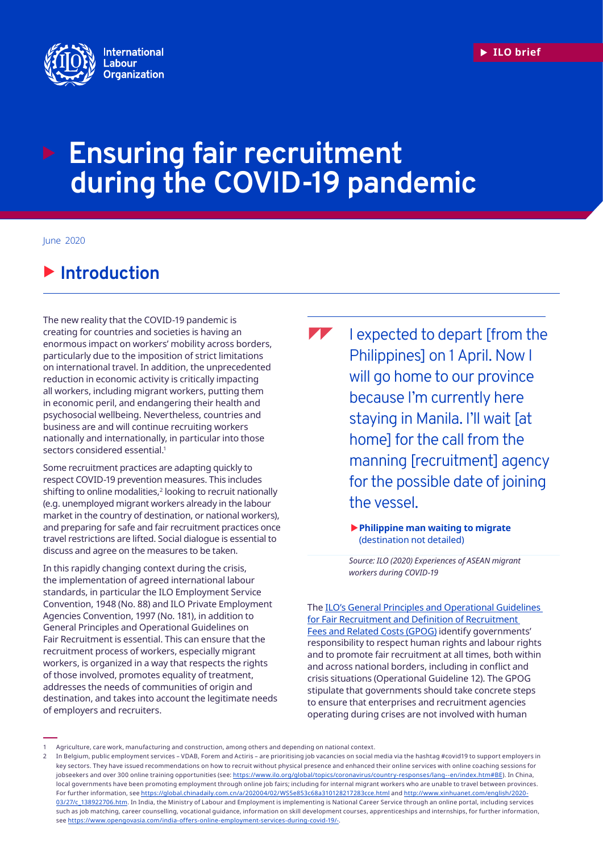

# **Ensuring fair recruitment during the COVID-19 pandemic**

June 2020

# $\blacktriangleright$  **Introduction**

The new reality that the COVID-19 pandemic is creating for countries and societies is having an enormous impact on workers' mobility across borders, particularly due to the imposition of strict limitations on international travel. In addition, the unprecedented reduction in economic activity is critically impacting all workers, including migrant workers, putting them in economic peril, and endangering their health and psychosocial wellbeing. Nevertheless, countries and business are and will continue recruiting workers nationally and internationally, in particular into those sectors considered essential.<sup>1</sup>

Some recruitment practices are adapting quickly to respect COVID-19 prevention measures. This includes shifting to online modalities,<sup>2</sup> looking to recruit nationally (e.g. unemployed migrant workers already in the labour market in the country of destination, or national workers), and preparing for safe and fair recruitment practices once travel restrictions are lifted. Social dialogue is essential to discuss and agree on the measures to be taken.

In this rapidly changing context during the crisis, the implementation of agreed international labour standards, in particular the ILO Employment Service Convention, 1948 (No. 88) and ILO Private Employment Agencies Convention, 1997 (No. 181), in addition to General Principles and Operational Guidelines on Fair Recruitment is essential. This can ensure that the recruitment process of workers, especially migrant workers, is organized in a way that respects the rights of those involved, promotes equality of treatment, addresses the needs of communities of origin and destination, and takes into account the legitimate needs of employers and recruiters.

 $\blacksquare$ I expected to depart [from the Philippines] on 1 April. Now I will go home to our province because I'm currently here staying in Manila. I'll wait [at home] for the call from the manning [recruitment] agency for the possible date of joining the vessel.

> X**Philippine man waiting to migrate** (destination not detailed)

*Source: ILO (2020) Experiences of ASEAN migrant workers during COVID-19*

Th[e ILO's General Principles and Operational Guidelines](https://www.ilo.org/global/topics/fair-recruitment/WCMS_536755/lang--en/index.htm)  [for Fair Recruitment and Definition of Recruitment](https://www.ilo.org/global/topics/fair-recruitment/WCMS_536755/lang--en/index.htm)  [Fees and Related Costs](https://www.ilo.org/global/topics/fair-recruitment/WCMS_536755/lang--en/index.htm) (GPOG) identify governments' responsibility to respect human rights and labour rights and to promote fair recruitment at all times, both within and across national borders, including in conflict and crisis situations (Operational Guideline 12). The GPOG stipulate that governments should take concrete steps to ensure that enterprises and recruitment agencies operating during crises are not involved with human

Agriculture, care work, manufacturing and construction, among others and depending on national context.

<sup>2</sup> In Belgium, public employment services – VDAB, Forem and Actiris – are prioritising job vacancies on social media via the hashtag #covid19 to support employers in key sectors. They have issued recommendations on how to recruit without physical presence and enhanced their online services with online coaching sessions for jobseekers and over 300 online training opportunities (see:<https://www.ilo.org/global/topics/coronavirus/country-responses/lang--en/index.htm#BE>). In China, local governments have been promoting employment through online job fairs; including for internal migrant workers who are unable to travel between provinces. For further information, see<https://global.chinadaily.com.cn/a/202004/02/WS5e853c68a310128217283cce.html>and [http://www.xinhuanet.com/english/2020-](http://www.xinhuanet.com/english/2020-03/27/c_138922706.htm) [03/27/c\\_138922706.htm.](http://www.xinhuanet.com/english/2020-03/27/c_138922706.htm) In India, the Ministry of Labour and Employment is implementing is National Career Service through an online portal, including services such as job matching, career counselling, vocational guidance, information on skill development courses, apprenticeships and internships, for further information, see [https://www.opengovasia.com/india-offers-online-employment-services-during-covid-19/-.](https://www.opengovasia.com/india-offers-online-employment-services-during-covid-19/-)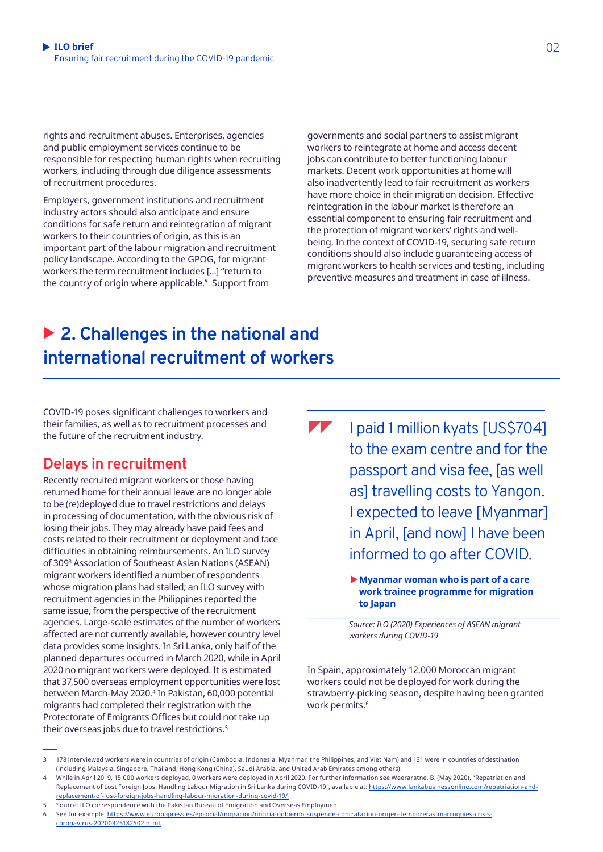rights and recruitment abuses. Enterprises, agencies and public employment services continue to be responsible for respecting human rights when recruiting workers, including through due diligence assessments of recruitment procedures.

Employers, government institutions and recruitment industry actors should also anticipate and ensure conditions for safe return and reintegration of migrant workers to their countries of origin, as this is an important part of the labour migration and recruitment policy landscape. According to the GPOG, for migrant workers the term recruitment includes […] "return to the country of origin where applicable." Support from

governments and social partners to assist migrant workers to reintegrate at home and access decent jobs can contribute to better functioning labour markets. Decent work opportunities at home will also inadvertently lead to fair recruitment as workers have more choice in their migration decision. Effective reintegration in the labour market is therefore an essential component to ensuring fair recruitment and the protection of migrant workers' rights and wellbeing. In the context of COVID-19, securing safe return conditions should also include guaranteeing access of migrant workers to health services and testing, including preventive measures and treatment in case of illness.

# ▶ 2. Challenges in the national and **international recruitment of workers**

COVID-19 poses significant challenges to workers and their families, as well as to recruitment processes and the future of the recruitment industry.

### **Delays in recruitment**

Recently recruited migrant workers or those having returned home for their annual leave are no longer able to be (re)deployed due to travel restrictions and delays in processing of documentation, with the obvious risk of losing their jobs. They may already have paid fees and costs related to their recruitment or deployment and face difficulties in obtaining reimbursements. An ILO survey of 3093 Association of Southeast Asian Nations (ASEAN) migrant workers identified a number of respondents whose migration plans had stalled; an ILO survey with recruitment agencies in the Philippines reported the same issue, from the perspective of the recruitment agencies. Large-scale estimates of the number of workers affected are not currently available, however country level data provides some insights. In Sri Lanka, only half of the planned departures occurred in March 2020, while in April 2020 no migrant workers were deployed. It is estimated that 37,500 overseas employment opportunities were lost between March-May 2020.4 In Pakistan, 60,000 potential migrants had completed their registration with the Protectorate of Emigrants Offices but could not take up their overseas jobs due to travel restrictions.5

 $\sqrt{ }$ I paid 1 million kyats [US\$704] to the exam centre and for the passport and visa fee, [as well as] travelling costs to Yangon. I expected to leave [Myanmar] in April, [and now] I have been informed to go after COVID.

> X**Myanmar woman who is part of a care work trainee programme for migration to Japan**

*Source: ILO (2020) Experiences of ASEAN migrant workers during COVID-19*

In Spain, approximately 12,000 Moroccan migrant workers could not be deployed for work during the strawberry-picking season, despite having been granted work permits.<sup>6</sup>

<sup>3</sup> 178 interviewed workers were in countries of origin (Cambodia, Indonesia, Myanmar, the Philippines, and Viet Nam) and 131 were in countries of destination (including Malaysia, Singapore, Thailand, Hong Kong (China), Saudi Arabia, and United Arab Emirates among others).

<sup>4</sup> While in April 2019, 15,000 workers deployed, 0 workers were deployed in April 2020. For further information see Weeraratne, B. (May 2020), "Repatriation and Replacement of Lost Foreign Jobs: Handling Labour Migration in Sri Lanka during COVID-19", available at: [https://www.lankabusinessonline.com/repatriation-and](https://www.lankabusinessonline.com/repatriation-and-replacement-of-lost-foreign-jobs-handling-labour-migration-during-covid-19/)[replacement-of-lost-foreign-jobs-handling-labour-migration-during-covid-19/.](https://www.lankabusinessonline.com/repatriation-and-replacement-of-lost-foreign-jobs-handling-labour-migration-during-covid-19/)

<sup>5</sup> Source: ILO correspondence with the Pakistan Bureau of Emigration and Overseas Employment.

<sup>6</sup> See for example: [https://www.europapress.es/epsocial/migracion/noticia-gobierno-suspende-contratacion-origen-temporeras-marroquies-crisis](https://www.europapress.es/epsocial/migracion/noticia-gobierno-suspende-contratacion-origen-temporeras-marroquies-crisis-coronavirus-20200325182502.html)[coronavirus-20200325182502.html](https://www.europapress.es/epsocial/migracion/noticia-gobierno-suspende-contratacion-origen-temporeras-marroquies-crisis-coronavirus-20200325182502.html).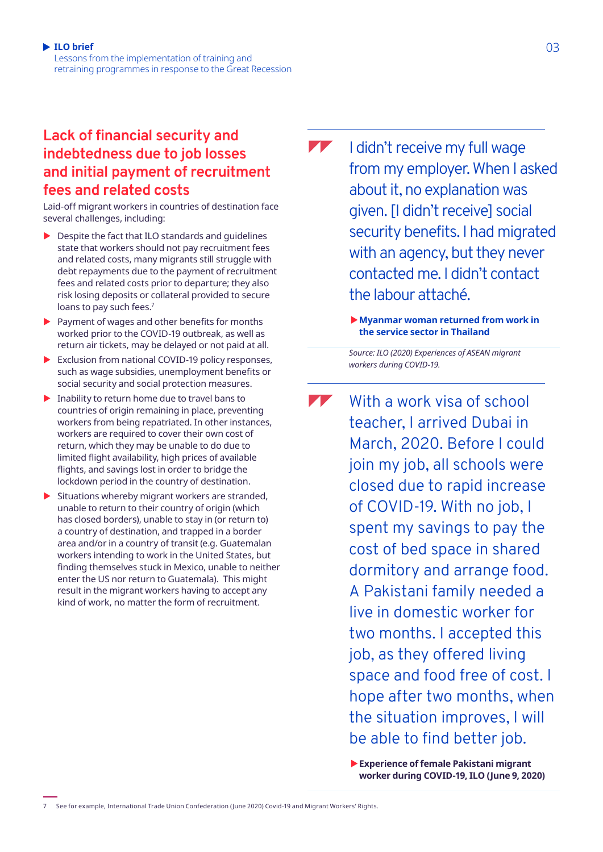**ILO brief** 03 Lessons from the implementation of training and retraining programmes in response to the Great Recession

### **Lack of financial security and indebtedness due to job losses and initial payment of recruitment fees and related costs**

Laid-off migrant workers in countries of destination face several challenges, including:

- $\blacktriangleright$  Despite the fact that ILO standards and quidelines state that workers should not pay recruitment fees and related costs, many migrants still struggle with debt repayments due to the payment of recruitment fees and related costs prior to departure; they also risk losing deposits or collateral provided to secure loans to pay such fees.<sup>7</sup>
- $\blacktriangleright$  Payment of wages and other benefits for months worked prior to the COVID-19 outbreak, as well as return air tickets, may be delayed or not paid at all.
- $\blacktriangleright$  Exclusion from national COVID-19 policy responses, such as wage subsidies, unemployment benefits or social security and social protection measures.
- $\blacktriangleright$  Inability to return home due to travel bans to countries of origin remaining in place, preventing workers from being repatriated. In other instances, workers are required to cover their own cost of return, which they may be unable to do due to limited flight availability, high prices of available flights, and savings lost in order to bridge the lockdown period in the country of destination.
- $\blacktriangleright$  Situations whereby migrant workers are stranded, unable to return to their country of origin (which has closed borders), unable to stay in (or return to) a country of destination, and trapped in a border area and/or in a country of transit (e.g. Guatemalan workers intending to work in the United States, but finding themselves stuck in Mexico, unable to neither enter the US nor return to Guatemala). This might result in the migrant workers having to accept any kind of work, no matter the form of recruitment.

 $\blacktriangledown$ I didn't receive my full wage from my employer. When I asked about it, no explanation was given. [I didn't receive] social security benefits. I had migrated with an agency, but they never contacted me. I didn't contact the labour attaché.

> ▶ Myanmar woman returned from work in **the service sector in Thailand**

*Source: ILO (2020) Experiences of ASEAN migrant workers during COVID-19.*

T With a work visa of school teacher, I arrived Dubai in March, 2020. Before I could join my job, all schools were closed due to rapid increase of COVID-19. With no job, I spent my savings to pay the cost of bed space in shared dormitory and arrange food. A Pakistani family needed a live in domestic worker for two months. I accepted this job, as they offered living space and food free of cost. I hope after two months, when the situation improves, I will be able to find better job.

> X**Experience of female Pakistani migrant worker during COVID-19, ILO (June 9, 2020)**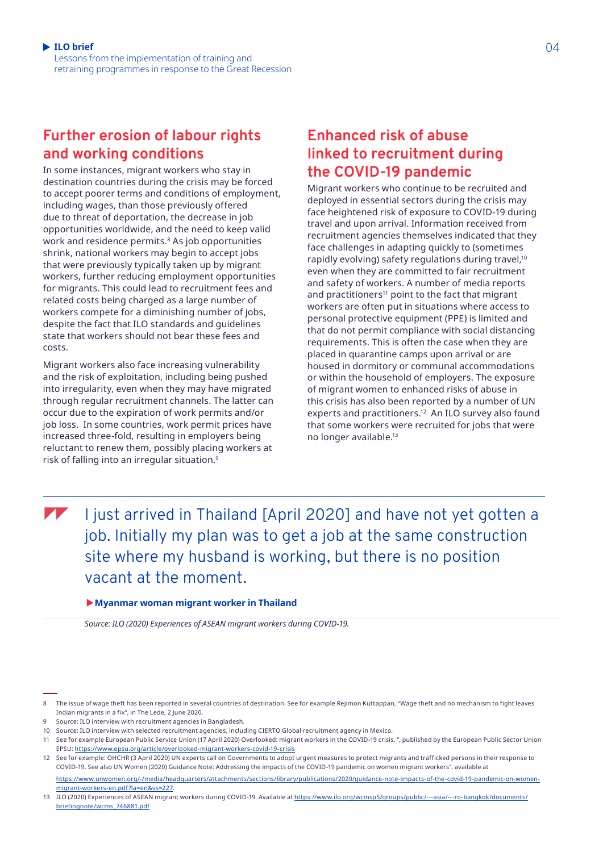Lessons from the implementation of training and retraining programmes in response to the Great Recession

### **Further erosion of labour rights and working conditions**

In some instances, migrant workers who stay in destination countries during the crisis may be forced to accept poorer terms and conditions of employment, including wages, than those previously offered due to threat of deportation, the decrease in job opportunities worldwide, and the need to keep valid work and residence permits.<sup>8</sup> As job opportunities shrink, national workers may begin to accept jobs that were previously typically taken up by migrant workers, further reducing employment opportunities for migrants. This could lead to recruitment fees and related costs being charged as a large number of workers compete for a diminishing number of jobs, despite the fact that ILO standards and guidelines state that workers should not bear these fees and costs.

Migrant workers also face increasing vulnerability and the risk of exploitation, including being pushed into irregularity, even when they may have migrated through regular recruitment channels. The latter can occur due to the expiration of work permits and/or job loss. In some countries, work permit prices have increased three-fold, resulting in employers being reluctant to renew them, possibly placing workers at risk of falling into an irregular situation.9

### **Enhanced risk of abuse linked to recruitment during the COVID-19 pandemic**

Migrant workers who continue to be recruited and deployed in essential sectors during the crisis may face heightened risk of exposure to COVID-19 during travel and upon arrival. Information received from recruitment agencies themselves indicated that they face challenges in adapting quickly to (sometimes rapidly evolving) safety regulations during travel,<sup>10</sup> even when they are committed to fair recruitment and safety of workers. A number of media reports and practitioners<sup>11</sup> point to the fact that migrant workers are often put in situations where access to personal protective equipment (PPE) is limited and that do not permit compliance with social distancing requirements. This is often the case when they are placed in quarantine camps upon arrival or are housed in dormitory or communal accommodations or within the household of employers. The exposure of migrant women to enhanced risks of abuse in this crisis has also been reported by a number of UN experts and practitioners.<sup>12</sup> An ILO survey also found that some workers were recruited for jobs that were no longer available.13

 $\blacktriangledown$ 

I just arrived in Thailand [April 2020] and have not yet gotten a job. Initially my plan was to get a job at the same construction site where my husband is working, but there is no position vacant at the moment.

#### X**Myanmar woman migrant worker in Thailand**

*Source: ILO (2020) Experiences of ASEAN migrant workers during COVID-19.*

<sup>8</sup> The issue of wage theft has been reported in several countries of destination. See for example Rejimon Kuttappan, "Wage theft and no mechanism to fight leaves Indian migrants in a fix", in The Lede, 2 June 2020.

Source: ILO interview with recruitment agencies in Bangladesh.

<sup>10</sup> Source: ILO interview with selected recruitment agencies, including CIERTO Global recruitment agency in Mexico.

<sup>11</sup> See for example European Public Service Union (17 April 2020) Overlooked: migrant workers in the COVID-19 crisis. ", published by the European Public Sector Union EPSU: <https://www.epsu.org/article/overlooked-migrant-workers-covid-19-crisis>

<sup>12</sup> See for example: OHCHR (3 April 2020) UN experts call on Governments to adopt urgent measures to protect migrants and trafficked persons in their response to COVID-19. See also UN Women (2020) Guidance Note: Addressing the impacts of the COVID-19 pandemic on women migrant workers", available at

[https://www.unwomen.org/-/media/headquarters/attachments/sections/library/publications/2020/guidance-note-impacts-of-the-covid-19-pandemic-on-women](https://www.unwomen.org/-/media/headquarters/attachments/sections/library/publications/2020/guidance-note-impacts-of-the-covid-19-pandemic-on-women-migrant-workers-en.pdf?la=en&vs=227)[migrant-workers-en.pdf?la=en&vs=227.](https://www.unwomen.org/-/media/headquarters/attachments/sections/library/publications/2020/guidance-note-impacts-of-the-covid-19-pandemic-on-women-migrant-workers-en.pdf?la=en&vs=227)

<sup>13</sup> ILO (2020) Experiences of ASEAN migrant workers during COVID-19. Available at [https://www.ilo.org/wcmsp5/groups/public/---asia/---ro-bangkok/documents/](https://www.ilo.org/wcmsp5/groups/public/---asia/---ro-bangkok/documents/briefingnote/wcms_746881.pdf) [briefingnote/wcms\\_746881.pdf](https://www.ilo.org/wcmsp5/groups/public/---asia/---ro-bangkok/documents/briefingnote/wcms_746881.pdf)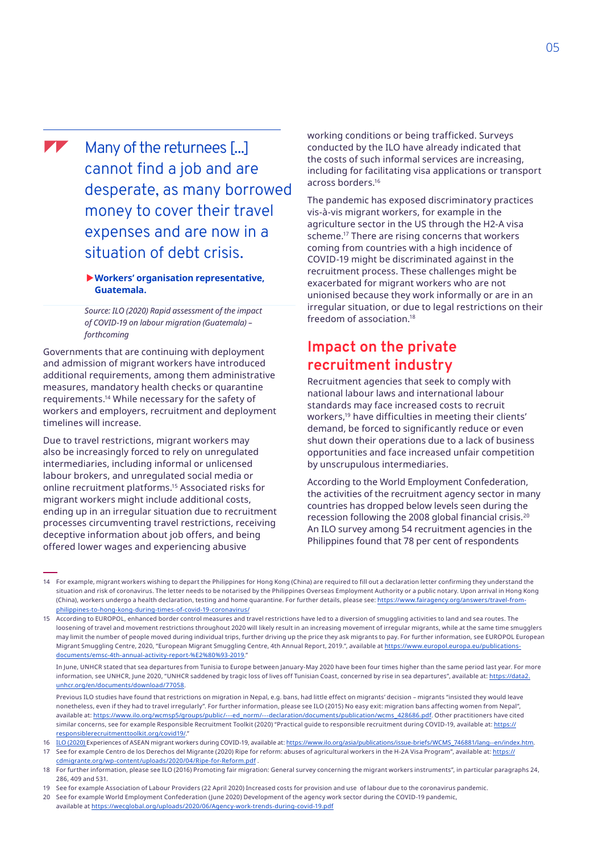**A** 

Many of the returnees [...] cannot find a job and are desperate, as many borrowed money to cover their travel expenses and are now in a situation of debt crisis.

#### X**Workers' organisation representative, Guatemala.**

*Source: ILO (2020) Rapid assessment of the impact of COVID-19 on labour migration (Guatemala) – forthcoming*

Governments that are continuing with deployment and admission of migrant workers have introduced additional requirements, among them administrative measures, mandatory health checks or quarantine requirements.14 While necessary for the safety of workers and employers, recruitment and deployment timelines will increase.

Due to travel restrictions, migrant workers may also be increasingly forced to rely on unregulated intermediaries, including informal or unlicensed labour brokers, and unregulated social media or online recruitment platforms.15 Associated risks for migrant workers might include additional costs, ending up in an irregular situation due to recruitment processes circumventing travel restrictions, receiving deceptive information about job offers, and being offered lower wages and experiencing abusive

working conditions or being trafficked. Surveys conducted by the ILO have already indicated that the costs of such informal services are increasing, including for facilitating visa applications or transport across borders.16

The pandemic has exposed discriminatory practices vis-à-vis migrant workers, for example in the agriculture sector in the US through the H2-A visa scheme.17 There are rising concerns that workers coming from countries with a high incidence of COVID-19 might be discriminated against in the recruitment process. These challenges might be exacerbated for migrant workers who are not unionised because they work informally or are in an irregular situation, or due to legal restrictions on their freedom of association.18

### **Impact on the private recruitment industry**

Recruitment agencies that seek to comply with national labour laws and international labour standards may face increased costs to recruit workers,<sup>19</sup> have difficulties in meeting their clients' demand, be forced to significantly reduce or even shut down their operations due to a lack of business opportunities and face increased unfair competition by unscrupulous intermediaries.

According to the World Employment Confederation, the activities of the recruitment agency sector in many countries has dropped below levels seen during the recession following the 2008 global financial crisis.20 An ILO survey among 54 recruitment agencies in the Philippines found that 78 per cent of respondents

20 See for example World Employment Confederation (June 2020) Development of the agency work sector during the COVID-19 pandemic,

available at<https://wecglobal.org/uploads/2020/06/Agency-work-trends-during-covid-19.pdf>

<sup>14</sup> For example, migrant workers wishing to depart the Philippines for Hong Kong (China) are required to fill out a declaration letter confirming they understand the situation and risk of coronavirus. The letter needs to be notarised by the Philippines Overseas Employment Authority or a public notary. Upon arrival in Hong Kong (China), workers undergo a health declaration, testing and home quarantine. For further details, please see: [https://www.fairagency.org/answers/travel-from](https://www.fairagency.org/answers/travel-from-philippines-to-hong-kong-during-times-of-covid-19-coronavirus/)[philippines-to-hong-kong-during-times-of-covid-19-coronavirus/](https://www.fairagency.org/answers/travel-from-philippines-to-hong-kong-during-times-of-covid-19-coronavirus/)

<sup>15</sup> According to EUROPOL, enhanced border control measures and travel restrictions have led to a diversion of smuggling activities to land and sea routes. The loosening of travel and movement restrictions throughout 2020 will likely result in an increasing movement of irregular migrants, while at the same time smugglers may limit the number of people moved during individual trips, further driving up the price they ask migrants to pay. For further information, see EUROPOL European Migrant Smuggling Centre, 2020, "European Migrant Smuggling Centre, 4th Annual Report, 2019.", available at [https://www.europol.europa.eu/publications](https://www.europol.europa.eu/publications-documents/emsc-4th-annual-activity-report-%E2%80%93-2019)[documents/emsc-4th-annual-activity-report-%E2%80%93-2019](https://www.europol.europa.eu/publications-documents/emsc-4th-annual-activity-report-%E2%80%93-2019)."

In June, UNHCR stated that sea departures from Tunisia to Europe between January-May 2020 have been four times higher than the same period last year. For more information, see UNHCR, June 2020, "UNHCR saddened by tragic loss of lives off Tunisian Coast, concerned by rise in sea departures", available at: [https://data2.](https://data2.unhcr.org/en/documents/download/77058) [unhcr.org/en/documents/download/77058.](https://data2.unhcr.org/en/documents/download/77058)

Previous ILO studies have found that restrictions on migration in Nepal, e.g. bans, had little effect on migrants' decision – migrants "insisted they would leave nonetheless, even if they had to travel irregularly". For further information, please see ILO (2015) No easy exit: migration bans affecting women from Nepal", available at: [https://www.ilo.org/wcmsp5/groups/public/---ed\\_norm/---declaration/documents/publication/wcms\\_428686.pdf](https://www.ilo.org/wcmsp5/groups/public/---ed_norm/---declaration/documents/publication/wcms_428686.pdf). Other practitioners have cited similar concerns, see for example Responsible Recruitment Toolkit (2020) "Practical guide to responsible recruitment during COVID-19, available at: https:// responsiblerecruitmenttoolkit.org/covid19/."

<sup>16</sup> ILO (2020) Experiences of ASEAN migrant workers during COVID-19, available at: [https://www.ilo.org/asia/publications/issue-briefs/WCMS\\_746881/lang--en/index.htm.](https://www.ilo.org/asia/publications/issue-briefs/WCMS_746881/lang--en/index.htm) 17 See for example Centro de los Derechos del Migrante (2020) Ripe for reform: abuses of agricultural workers in the H-2A Visa Program", available at: [https://](https://cdmigrante.org/wp-content/uploads/2020/04/Ripe-for-Reform.pdf) [cdmigrante.org/wp-content/uploads/2020/04/Ripe-for-Reform.pdf](https://cdmigrante.org/wp-content/uploads/2020/04/Ripe-for-Reform.pdf) .

<sup>18</sup> For further information, please see ILO (2016) Promoting fair migration: General survey concerning the migrant workers instruments", in particular paragraphs 24, 286, 409 and 531.

<sup>19</sup> See for example Association of Labour Providers (22 April 2020) Increased costs for provision and use of labour due to the coronavirus pandemic.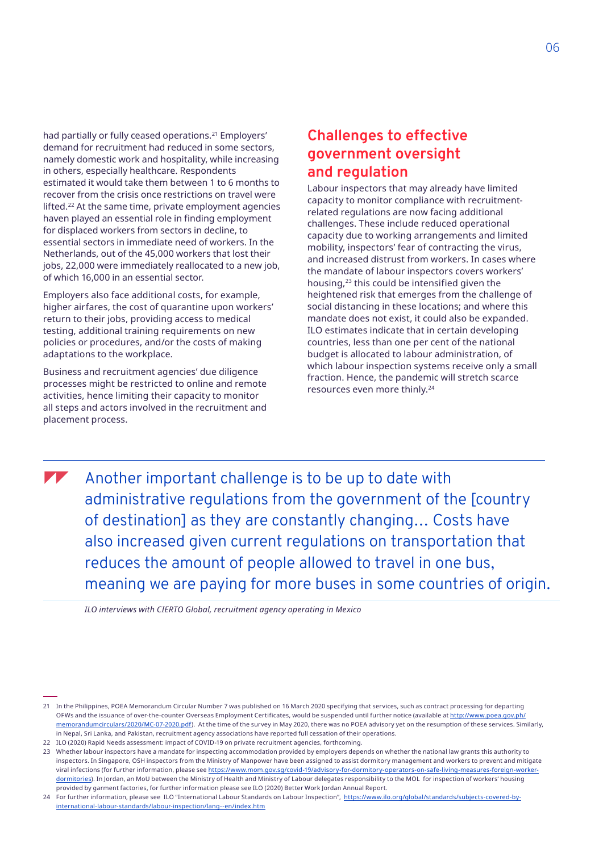had partially or fully ceased operations.<sup>21</sup> Employers' demand for recruitment had reduced in some sectors, namely domestic work and hospitality, while increasing in others, especially healthcare. Respondents estimated it would take them between 1 to 6 months to recover from the crisis once restrictions on travel were lifted.22 At the same time, private employment agencies haven played an essential role in finding employment for displaced workers from sectors in decline, to essential sectors in immediate need of workers. In the Netherlands, out of the 45,000 workers that lost their jobs, 22,000 were immediately reallocated to a new job, of which 16,000 in an essential sector.

Employers also face additional costs, for example, higher airfares, the cost of quarantine upon workers' return to their jobs, providing access to medical testing, additional training requirements on new policies or procedures, and/or the costs of making adaptations to the workplace.

Business and recruitment agencies' due diligence processes might be restricted to online and remote activities, hence limiting their capacity to monitor all steps and actors involved in the recruitment and placement process.

### **Challenges to effective government oversight and regulation**

Labour inspectors that may already have limited capacity to monitor compliance with recruitmentrelated regulations are now facing additional challenges. These include reduced operational capacity due to working arrangements and limited mobility, inspectors' fear of contracting the virus, and increased distrust from workers. In cases where the mandate of labour inspectors covers workers' housing,23 this could be intensified given the heightened risk that emerges from the challenge of social distancing in these locations; and where this mandate does not exist, it could also be expanded. ILO estimates indicate that in certain developing countries, less than one per cent of the national budget is allocated to labour administration, of which labour inspection systems receive only a small fraction. Hence, the pandemic will stretch scarce resources even more thinly.24

Another important challenge is to be up to date with administrative regulations from the government of the [country of destination] as they are constantly changing… Costs have also increased given current regulations on transportation that reduces the amount of people allowed to travel in one bus, meaning we are paying for more buses in some countries of origin.

*ILO interviews with CIERTO Global, recruitment agency operating in Mexico*

<sup>21</sup> In the Philippines, POEA Memorandum Circular Number 7 was published on 16 March 2020 specifying that services, such as contract processing for departing OFWs and the issuance of over-the-counter Overseas Employment Certificates, would be suspended until further notice (available at [http://www.poea.gov.ph/](http://www.poea.gov.ph/memorandumcirculars/2020/MC-07-2020.pdf) [memorandumcirculars/2020/MC-07-2020.pdf](http://www.poea.gov.ph/memorandumcirculars/2020/MC-07-2020.pdf)). At the time of the survey in May 2020, there was no POEA advisory yet on the resumption of these services. Similarly, in Nepal, Sri Lanka, and Pakistan, recruitment agency associations have reported full cessation of their operations.

<sup>22</sup> ILO (2020) Rapid Needs assessment: impact of COVID-19 on private recruitment agencies, forthcoming.

<sup>23</sup> Whether labour inspectors have a mandate for inspecting accommodation provided by employers depends on whether the national law grants this authority to inspectors. In Singapore, OSH inspectors from the Ministry of Manpower have been assigned to assist dormitory management and workers to prevent and mitigate viral infections (for further information, please see [https://www.mom.gov.sg/covid-19/advisory-for-dormitory-operators-on-safe-living-measures-foreign-worker](https://www.mom.gov.sg/covid-19/advisory-for-dormitory-operators-on-safe-living-measures-foreign-worker-dormitories)[dormitories](https://www.mom.gov.sg/covid-19/advisory-for-dormitory-operators-on-safe-living-measures-foreign-worker-dormitories)). In Jordan, an MoU between the Ministry of Health and Ministry of Labour delegates responsibility to the MOL for inspection of workers' housing provided by garment factories, for further information please see ILO (2020) Better Work Jordan Annual Report.

<sup>24</sup> For further information, please see ILO "International Labour Standards on Labour Inspection", [https://www.ilo.org/global/standards/subjects-covered-by](https://www.ilo.org/global/standards/subjects-covered-by-international-labour-standards/labour-inspection/lang--en/index.htm)[international-labour-standards/labour-inspection/lang--en/index.htm](https://www.ilo.org/global/standards/subjects-covered-by-international-labour-standards/labour-inspection/lang--en/index.htm)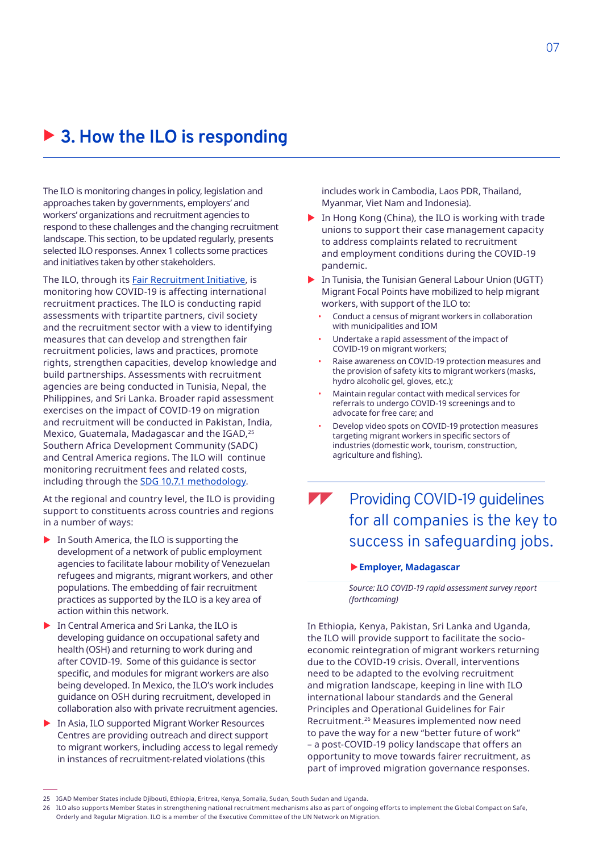# ▶ 3. How the ILO is responding

The ILO is monitoring changes in policy, legislation and approaches taken by governments, employers' and workers' organizations and recruitment agencies to respond to these challenges and the changing recruitment landscape. This section, to be updated regularly, presents selected ILO responses. Annex 1 collects some practices and initiatives taken by other stakeholders.

The ILO, through its **[Fair Recruitment Initiative](https://www.ilo.org/global/topics/fair-recruitment/lang--en/index.htm)**, is monitoring how COVID-19 is affecting international recruitment practices. The ILO is conducting rapid assessments with tripartite partners, civil society and the recruitment sector with a view to identifying measures that can develop and strengthen fair recruitment policies, laws and practices, promote rights, strengthen capacities, develop knowledge and build partnerships. Assessments with recruitment agencies are being conducted in Tunisia, Nepal, the Philippines, and Sri Lanka. Broader rapid assessment exercises on the impact of COVID-19 on migration and recruitment will be conducted in Pakistan, India, Mexico, Guatemala, Madagascar and the IGAD,<sup>25</sup> Southern Africa Development Community (SADC) and Central America regions. The ILO will continue monitoring recruitment fees and related costs, including through the [SDG 10.7.1 methodology.](https://www.ilo.org/global/topics/fair-recruitment/WCMS_726736/lang--en/index.htm)

At the regional and country level, the ILO is providing support to constituents across countries and regions in a number of ways:

- $\blacktriangleright$  In South America, the ILO is supporting the development of a network of public employment agencies to facilitate labour mobility of Venezuelan refugees and migrants, migrant workers, and other populations. The embedding of fair recruitment practices as supported by the ILO is a key area of action within this network.
- $\blacktriangleright$  In Central America and Sri Lanka, the ILO is developing guidance on occupational safety and health (OSH) and returning to work during and after COVID-19. Some of this guidance is sector specific, and modules for migrant workers are also being developed. In Mexico, the ILO's work includes guidance on OSH during recruitment, developed in collaboration also with private recruitment agencies.
- In Asia, ILO supported Migrant Worker Resources Centres are providing outreach and direct support to migrant workers, including access to legal remedy in instances of recruitment-related violations (this

includes work in Cambodia, Laos PDR, Thailand, Myanmar, Viet Nam and Indonesia).

- In Hong Kong (China), the ILO is working with trade unions to support their case management capacity to address complaints related to recruitment and employment conditions during the COVID-19 pandemic.
- In Tunisia, the Tunisian General Labour Union (UGTT) Migrant Focal Points have mobilized to help migrant workers, with support of the ILO to:
	- Conduct a census of migrant workers in collaboration with municipalities and IOM
	- Undertake a rapid assessment of the impact of COVID-19 on migrant workers;
	- Raise awareness on COVID-19 protection measures and the provision of safety kits to migrant workers (masks, hydro alcoholic gel, gloves, etc.);
	- Maintain regular contact with medical services for referrals to undergo COVID-19 screenings and to advocate for free care; and
	- Develop video spots on COVID-19 protection measures targeting migrant workers in specific sectors of industries (domestic work, tourism, construction, agriculture and fishing).

### Providing COVID-19 guidelines T for all companies is the key to success in safeguarding jobs.

#### X**Employer, Madagascar**

*Source: ILO COVID-19 rapid assessment survey report (forthcoming)*

In Ethiopia, Kenya, Pakistan, Sri Lanka and Uganda, the ILO will provide support to facilitate the socioeconomic reintegration of migrant workers returning due to the COVID-19 crisis. Overall, interventions need to be adapted to the evolving recruitment and migration landscape, keeping in line with ILO international labour standards and the General Principles and Operational Guidelines for Fair Recruitment.26 Measures implemented now need to pave the way for a new "better future of work" – a post-COVID-19 policy landscape that offers an opportunity to move towards fairer recruitment, as part of improved migration governance responses.

<sup>25</sup> IGAD Member States include Djibouti, Ethiopia, Eritrea, Kenya, Somalia, Sudan, South Sudan and Uganda.

<sup>26</sup> ILO also supports Member States in strengthening national recruitment mechanisms also as part of ongoing efforts to implement the Global Compact on Safe, Orderly and Regular Migration. ILO is a member of the Executive Committee of the UN Network on Migration.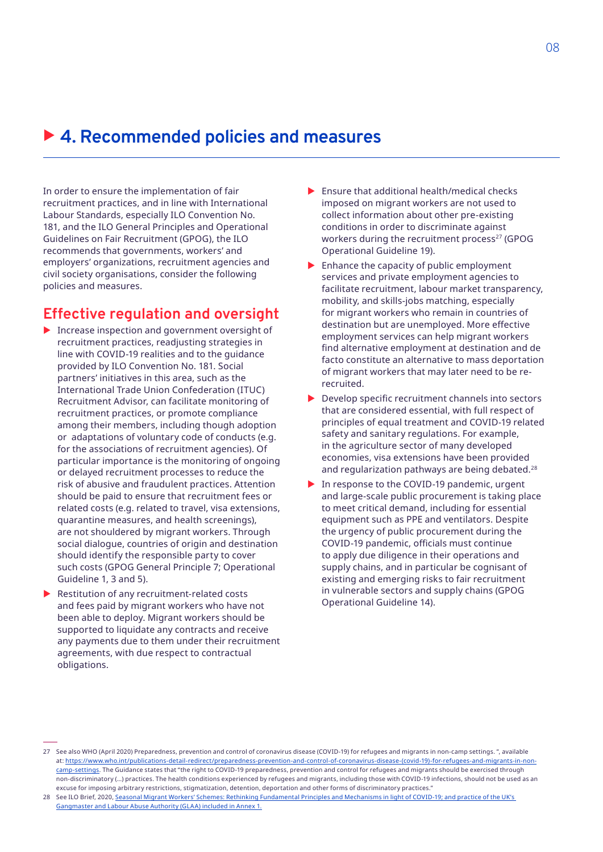## ▶ 4. Recommended policies and measures

In order to ensure the implementation of fair recruitment practices, and in line with International Labour Standards, especially ILO Convention No. 181, and the ILO General Principles and Operational Guidelines on Fair Recruitment (GPOG), the ILO recommends that governments, workers' and employers' organizations, recruitment agencies and civil society organisations, consider the following policies and measures.

### **Effective regulation and oversight**

- $\blacktriangleright$  Increase inspection and government oversight of recruitment practices, readjusting strategies in line with COVID-19 realities and to the guidance provided by ILO Convention No. 181. Social partners' initiatives in this area, such as the International Trade Union Confederation (ITUC) [Recruitment Advisor](https://www.recruitmentadvisor.org/), can facilitate monitoring of recruitment practices, or promote compliance among their members, including though adoption or adaptations of voluntary code of conducts (e.g. for the associations of recruitment agencies). Of particular importance is the monitoring of ongoing or delayed recruitment processes to reduce the risk of abusive and fraudulent practices. Attention should be paid to ensure that recruitment fees or related costs (e.g. related to travel, visa extensions, quarantine measures, and health screenings), are not shouldered by migrant workers. Through social dialogue, countries of origin and destination should identify the responsible party to cover such costs (GPOG General Principle 7; Operational Guideline 1, 3 and 5).
- $\blacktriangleright$  Restitution of any recruitment-related costs and fees paid by migrant workers who have not been able to deploy. Migrant workers should be supported to liquidate any contracts and receive any payments due to them under their recruitment agreements, with due respect to contractual obligations.
- Ensure that additional health/medical checks imposed on migrant workers are not used to collect information about other pre-existing conditions in order to discriminate against workers during the recruitment process<sup>27</sup> (GPOG Operational Guideline 19).
- $\blacktriangleright$  Enhance the capacity of public employment services and private employment agencies to facilitate recruitment, labour market transparency, mobility, and skills-jobs matching, especially for migrant workers who remain in countries of destination but are unemployed. More effective employment services can help migrant workers find alternative employment at destination and de facto constitute an alternative to mass deportation of migrant workers that may later need to be rerecruited.
- $\blacktriangleright$  Develop specific recruitment channels into sectors that are considered essential, with full respect of principles of equal treatment and COVID-19 related safety and sanitary regulations. For example, in the agriculture sector of many developed economies, visa extensions have been provided and regularization pathways are being debated.<sup>28</sup>
- $\blacktriangleright$  In response to the COVID-19 pandemic, urgent and large-scale public procurement is taking place to meet critical demand, including for essential equipment such as PPE and ventilators. Despite the urgency of public procurement during the COVID-19 pandemic, officials must continue to apply due diligence in their operations and supply chains, and in particular be cognisant of existing and emerging risks to fair recruitment in vulnerable sectors and supply chains (GPOG Operational Guideline 14).

<sup>27</sup> See also WHO (April 2020) Preparedness, prevention and control of coronavirus disease (COVID-19) for refugees and migrants in non-camp settings. ", available at: [https://www.who.int/publications-detail-redirect/preparedness-prevention-and-control-of-coronavirus-disease-\(covid-19\)-for-refugees-and-migrants-in-non](https://www.who.int/publications-detail-redirect/preparedness-prevention-and-control-of-coronavirus-disease-(covid-19)-for-refugees-and-migrants-in-non-camp-settings)[camp-settings](https://www.who.int/publications-detail-redirect/preparedness-prevention-and-control-of-coronavirus-disease-(covid-19)-for-refugees-and-migrants-in-non-camp-settings). The Guidance states that "the right to COVID-19 preparedness, prevention and control for refugees and migrants should be exercised through non-discriminatory (…) practices. The health conditions experienced by refugees and migrants, including those with COVID-19 infections, should not be used as an excuse for imposing arbitrary restrictions, stigmatization, detention, deportation and other forms of discriminatory practices."

<sup>28</sup> See ILO Brief, 2020, [Seasonal Migrant Workers' Schemes: Rethinking Fundamental Principles and Mechanisms in light of COVID-19;](https://www.ilo.org/global/topics/labour-migration/publications/WCMS_745481/lang--en/index.htm) and practice of the UK's Gangmaster and Labour Abuse Authority (GLAA) included in Annex 1.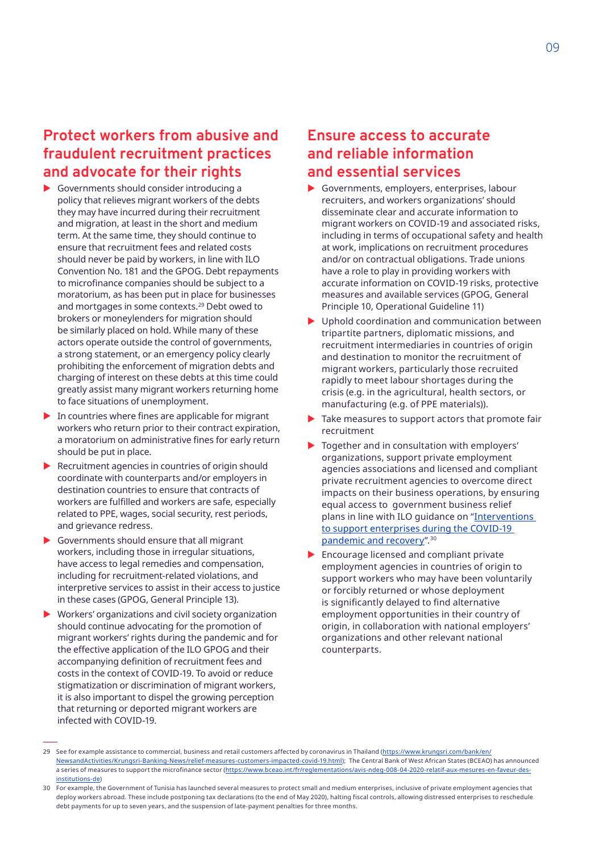### **Protect workers from abusive and fraudulent recruitment practices and advocate for their rights**

- $\triangleright$  Governments should consider introducing a policy that relieves migrant workers of the debts they may have incurred during their recruitment and migration, at least in the short and medium term. At the same time, they should continue to ensure that recruitment fees and related costs should never be paid by workers, in line with ILO Convention No. 181 and the GPOG. Debt repayments to microfinance companies should be subject to a moratorium, as has been put in place for businesses and mortgages in some contexts.<sup>29</sup> Debt owed to brokers or moneylenders for migration should be similarly placed on hold. While many of these actors operate outside the control of governments, a strong statement, or an emergency policy clearly prohibiting the enforcement of migration debts and charging of interest on these debts at this time could greatly assist many migrant workers returning home to face situations of unemployment.
- $\blacktriangleright$  In countries where fines are applicable for migrant workers who return prior to their contract expiration, a moratorium on administrative fines for early return should be put in place.
- $\blacktriangleright$  Recruitment agencies in countries of origin should coordinate with counterparts and/or employers in destination countries to ensure that contracts of workers are fulfilled and workers are safe, especially related to PPE, wages, social security, rest periods, and grievance redress.
- Governments should ensure that all migrant workers, including those in irregular situations, have access to legal remedies and compensation, including for recruitment-related violations, and interpretive services to assist in their access to justice in these cases (GPOG, General Principle 13).
- $\blacktriangleright$  Workers' organizations and civil society organization should continue advocating for the promotion of migrant workers' rights during the pandemic and for the effective application of the ILO GPOG and their accompanying definition of recruitment fees and costs in the context of COVID-19. To avoid or reduce stigmatization or discrimination of migrant workers, it is also important to dispel the growing perception that returning or deported migrant workers are infected with COVID-19.

### **Ensure access to accurate and reliable information and essential services**

- $\blacktriangleright$  Governments, employers, enterprises, labour recruiters, and workers organizations' should disseminate clear and accurate information to migrant workers on COVID-19 and associated risks, including in terms of occupational safety and health at work, implications on recruitment procedures and/or on contractual obligations. Trade unions have a role to play in providing workers with accurate information on COVID-19 risks, protective measures and available services (GPOG, General Principle 10, Operational Guideline 11)
- $\blacktriangleright$  Uphold coordination and communication between tripartite partners, diplomatic missions, and recruitment intermediaries in countries of origin and destination to monitor the recruitment of migrant workers, particularly those recruited rapidly to meet labour shortages during the crisis (e.g. in the agricultural, health sectors, or manufacturing (e.g. of PPE materials)).
- Take measures to support actors that promote fair recruitment
- Together and in consultation with employers' organizations, support private employment agencies associations and licensed and compliant private recruitment agencies to overcome direct impacts on their business operations, by ensuring equal access to government business relief plans in line with ILO guidance on ["Interventions](https://www.ilo.org/empent/areas/covid-19/WCMS_741870/lang--en/index.htm)  [to support enterprises during the COVID-19](https://www.ilo.org/empent/areas/covid-19/WCMS_741870/lang--en/index.htm)  [pandemic and recovery](https://www.ilo.org/empent/areas/covid-19/WCMS_741870/lang--en/index.htm)".30
- Encourage licensed and compliant private employment agencies in countries of origin to support workers who may have been voluntarily or forcibly returned or whose deployment is significantly delayed to find alternative employment opportunities in their country of origin, in collaboration with national employers' organizations and other relevant national counterparts.

<sup>29</sup> See for example assistance to commercial, business and retail customers affected by coronavirus in Thailand ([https://www.krungsri.com/bank/en/](https://www.krungsri.com/bank/en/NewsandActivities/Krungsri-Banking-News/relief-measures-customers-impacted-covid-19.html) [NewsandActivities/Krungsri-Banking-News/relief-measures-customers-impacted-covid-19.html\)](https://www.krungsri.com/bank/en/NewsandActivities/Krungsri-Banking-News/relief-measures-customers-impacted-covid-19.html); The Central Bank of West African States (BCEAO) has announced a series of measures to support the microfinance sector ([https://www.bceao.int/fr/reglementations/avis-ndeg-008-04-2020-relatif-aux-mesures-en-faveur-des](https://www.bceao.int/fr/reglementations/avis-ndeg-008-04-2020-relatif-aux-mesures-en-faveur-des-institutions-de)[institutions-de\)](https://www.bceao.int/fr/reglementations/avis-ndeg-008-04-2020-relatif-aux-mesures-en-faveur-des-institutions-de)

<sup>30</sup> For example, the Government of Tunisia has launched several measures to protect small and medium enterprises, inclusive of private employment agencies that deploy workers abroad. These include postponing tax declarations (to the end of May 2020), halting fiscal controls, allowing distressed enterprises to reschedule debt payments for up to seven years, and the suspension of late-payment penalties for three months.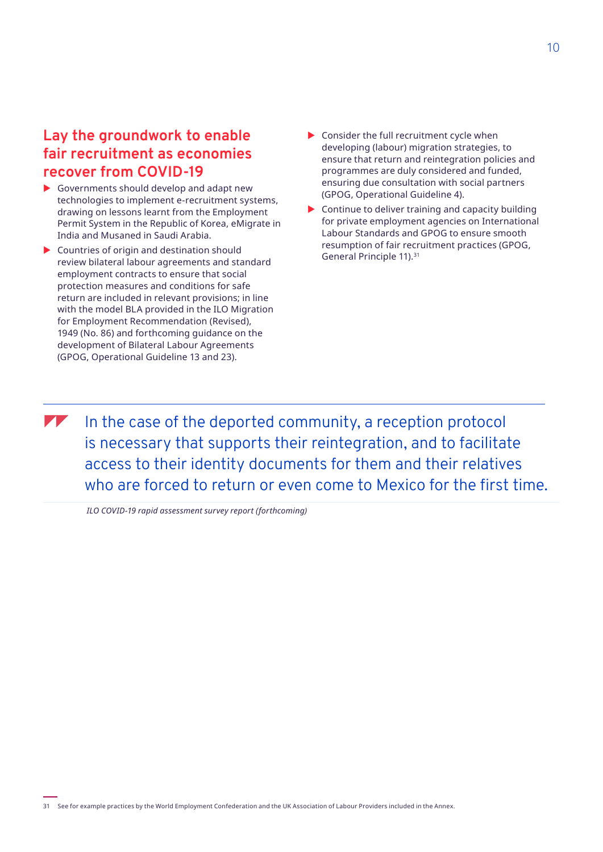### **Lay the groundwork to enable fair recruitment as economies recover from COVID-19**

- $\blacktriangleright$  Governments should develop and adapt new technologies to implement e-recruitment systems, drawing on lessons learnt from the Employment Permit System in the Republic of Korea, eMigrate in India and Musaned in Saudi Arabia.
- $\triangleright$  Countries of origin and destination should review bilateral labour agreements and standard employment contracts to ensure that social protection measures and conditions for safe return are included in relevant provisions; in line with the model BLA provided in the ILO Migration for Employment Recommendation (Revised), 1949 (No. 86) and forthcoming guidance on the development of Bilateral Labour Agreements (GPOG, Operational Guideline 13 and 23).
- $\triangleright$  Consider the full recruitment cycle when developing (labour) migration strategies, to ensure that return and reintegration policies and programmes are duly considered and funded, ensuring due consultation with social partners (GPOG, Operational Guideline 4).
- $\triangleright$  Continue to deliver training and capacity building for private employment agencies on International Labour Standards and GPOG to ensure smooth resumption of fair recruitment practices (GPOG, General Principle 11).31

 $\blacksquare$  In the case of the deported community, a reception protocol is necessary that supports their reintegration, and to facilitate access to their identity documents for them and their relatives who are forced to return or even come to Mexico for the first time.

 *ILO COVID-19 rapid assessment survey report (forthcoming)*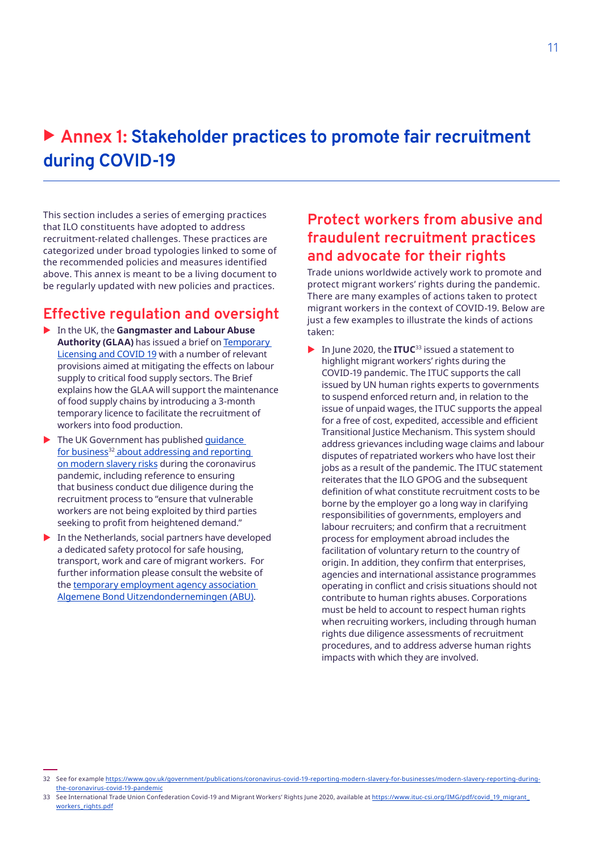# ▶ Annex 1: Stakeholder practices to promote fair recruitment **during COVID-19**

This section includes a series of emerging practices that ILO constituents have adopted to address recruitment-related challenges. These practices are categorized under broad typologies linked to some of the recommended policies and measures identified above. This annex is meant to be a living document to be regularly updated with new policies and practices.

### **Effective regulation and oversight**

- X In the UK, the **Gangmaster and Labour Abuse Authority (GLAA)** has issued a brief on [Temporary](https://www.gla.gov.uk/media/5640/glaa-brief-62-temporary-licensing-final_-002.pdf)  [Licensing and COVID 19](https://www.gla.gov.uk/media/5640/glaa-brief-62-temporary-licensing-final_-002.pdf) with a number of relevant provisions aimed at mitigating the effects on labour supply to critical food supply sectors. The Brief explains how the GLAA will support the maintenance of food supply chains by introducing a 3-month temporary licence to facilitate the recruitment of workers into food production.
- $\blacktriangleright$  The UK Government has published quidance for business<sup>32</sup> about addressing and reporting on modern slavery risks during the coronavirus pandemic, including reference to ensuring that business conduct due diligence during the recruitment process to "ensure that vulnerable workers are not being exploited by third parties seeking to profit from heightened demand."
- $\blacktriangleright$  In the Netherlands, social partners have developed a dedicated safety protocol for safe housing, transport, work and care of migrant workers. For further information please consult the website of the [temporary employment agency association](https://www.abu.nl/kennisbank/corona/abu-komt-met-veiligheidsprotocol-veilig-wonen-vervoer-werk-en-zorg-voor-arbeidsmigranten/)  [Algemene Bond Uitzendondernemingen](https://www.abu.nl/kennisbank/corona/abu-komt-met-veiligheidsprotocol-veilig-wonen-vervoer-werk-en-zorg-voor-arbeidsmigranten/) (ABU).

### **Protect workers from abusive and fraudulent recruitment practices and advocate for their rights**

Trade unions worldwide actively work to promote and protect migrant workers' rights during the pandemic. There are many examples of actions taken to protect migrant workers in the context of COVID-19. Below are just a few examples to illustrate the kinds of actions taken:

▶ In June 2020, the **ITUC**<sup>33</sup> issued a statement to highlight migrant workers' rights during the COVID-19 pandemic. The ITUC supports the call issued by UN human rights experts to governments to suspend enforced return and, in relation to the issue of unpaid wages, the ITUC supports the appeal for a free of cost, expedited, accessible and efficient Transitional Justice Mechanism. This system should address grievances including wage claims and labour disputes of repatriated workers who have lost their jobs as a result of the pandemic. The ITUC statement reiterates that the ILO GPOG and the subsequent definition of what constitute recruitment costs to be borne by the employer go a long way in clarifying responsibilities of governments, employers and labour recruiters; and confirm that a recruitment process for employment abroad includes the facilitation of voluntary return to the country of origin. In addition, they confirm that enterprises, agencies and international assistance programmes operating in conflict and crisis situations should not contribute to human rights abuses. Corporations must be held to account to respect human rights when recruiting workers, including through human rights due diligence assessments of recruitment procedures, and to address adverse human rights impacts with which they are involved.

<sup>32</sup> See for example [https://www.gov.uk/government/publications/coronavirus-covid-19-reporting-modern-slavery-for-businesses/modern-slavery-reporting-during](https://www.gov.uk/government/publications/coronavirus-covid-19-reporting-modern-slavery-for-businesses/modern-slavery-reporting-during-the-coronavirus-covid-19-pandemic)[the-coronavirus-covid-19-pandemic](https://www.gov.uk/government/publications/coronavirus-covid-19-reporting-modern-slavery-for-businesses/modern-slavery-reporting-during-the-coronavirus-covid-19-pandemic)

<sup>33</sup> See International Trade Union Confederation Covid-19 and Migrant Workers' Rights June 2020, available at [https://www.ituc-csi.org/IMG/pdf/covid\\_19\\_migrant\\_](https://www.ituc-csi.org/IMG/pdf/covid_19_migrant_workers_rights.pdf) [workers\\_rights.pdf](https://www.ituc-csi.org/IMG/pdf/covid_19_migrant_workers_rights.pdf)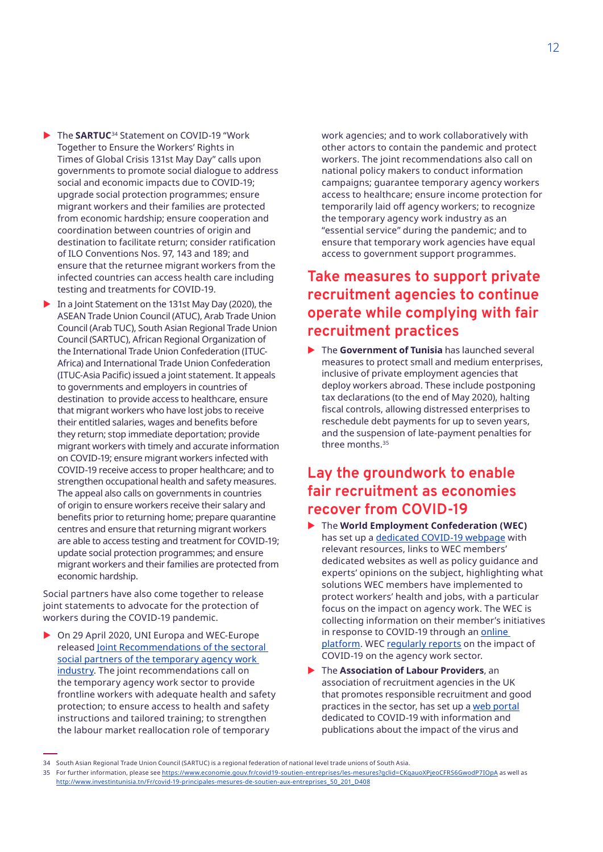- ▶ The **SARTUC**<sup>34</sup> Statement on COVID-19 "Work Together to Ensure the Workers' Rights in Times of Global Crisis 131st May Day" calls upon governments to promote social dialogue to address social and economic impacts due to COVID-19; upgrade social protection programmes; ensure migrant workers and their families are protected from economic hardship; ensure cooperation and coordination between countries of origin and destination to facilitate return; consider ratification of ILO Conventions Nos. 97, 143 and 189; and ensure that the returnee migrant workers from the infected countries can access health care including testing and treatments for COVID-19.
- $\blacktriangleright$  In a Joint Statement on the 131st May Day (2020), the ASEAN Trade Union Council (ATUC), Arab Trade Union Council (Arab TUC), South Asian Regional Trade Union Council (SARTUC), African Regional Organization of the International Trade Union Confederation (ITUC-Africa) and International Trade Union Confederation (ITUC-Asia Pacific) issued a joint statement. It appeals to governments and employers in countries of destination to provide access to healthcare, ensure that migrant workers who have lost jobs to receive their entitled salaries, wages and benefits before they return; stop immediate deportation; provide migrant workers with timely and accurate information on COVID-19; ensure migrant workers infected with COVID-19 receive access to proper healthcare; and to strengthen occupational health and safety measures. The appeal also calls on governments in countries of origin to ensure workers receive their salary and benefits prior to returning home; prepare quarantine centres and ensure that returning migrant workers are able to access testing and treatment for COVID-19; update social protection programmes; and ensure migrant workers and their families are protected from economic hardship.

Social partners have also come together to release joint statements to advocate for the protection of workers during the COVID-19 pandemic.

On 29 April 2020, UNI Europa and WEC-Europe released [Joint Recommendations of the sectoral](https://weceurope.org/uploads/2020/04/WEC-Europe-UNI-Europa-Joint-Recommendations-final-29-April-2020.pdf)  [social partners of the temporary agency work](https://weceurope.org/uploads/2020/04/WEC-Europe-UNI-Europa-Joint-Recommendations-final-29-April-2020.pdf) [industry.](https://weceurope.org/uploads/2020/04/WEC-Europe-UNI-Europa-Joint-Recommendations-final-29-April-2020.pdf) The joint recommendations call on the temporary agency work sector to provide frontline workers with adequate health and safety protection; to ensure access to health and safety instructions and tailored training; to strengthen the labour market reallocation role of temporary

work agencies; and to work collaboratively with other actors to contain the pandemic and protect workers. The joint recommendations also call on national policy makers to conduct information campaigns; guarantee temporary agency workers access to healthcare; ensure income protection for temporarily laid off agency workers; to recognize the temporary agency work industry as an "essential service" during the pandemic; and to ensure that temporary work agencies have equal access to government support programmes.

### **Take measures to support private recruitment agencies to continue operate while complying with fair recruitment practices**

▶ The **Government of Tunisia** has launched several measures to protect small and medium enterprises, inclusive of private employment agencies that deploy workers abroad. These include postponing tax declarations (to the end of May 2020), halting fiscal controls, allowing distressed enterprises to reschedule debt payments for up to seven years, and the suspension of late-payment penalties for three months.<sup>35</sup>

### **Lay the groundwork to enable fair recruitment as economies recover from COVID-19**

- ▶ The **World Employment Confederation (WEC)** has set up a [dedicated COVID-19 webpage](https://wecglobal.org/news-post/information-regarding-coronavirus-covid-19/) with relevant resources, links to WEC members' dedicated websites as well as policy guidance and experts' opinions on the subject, highlighting what solutions WEC members have implemented to protect workers' health and jobs, with a particular focus on the impact on agency work. The WEC is collecting information on their member's initiatives in response to COVID-19 through an [online](https://infowecglobal.sharepoint.com/:x:/g/ERdRZ8A41FlLsoDqLNdLdmoBxrJkD4s5rjxuv0xG7WKd7w?rtime=Awwa6dIH2Eg) [platform.](https://infowecglobal.sharepoint.com/:x:/g/ERdRZ8A41FlLsoDqLNdLdmoBxrJkD4s5rjxuv0xG7WKd7w?rtime=Awwa6dIH2Eg) WEC [regularly reports](https://wecglobal.org/uploads/2020/06/Agency-work-trends-during-covid-19.pdf) on the impact of COVID-19 on the agency work sector.
- ▶ The **Association of Labour Providers**, an association of recruitment agencies in the UK that promotes responsible recruitment and good practices in the sector, has set up a [web portal](https://labourproviders.org.uk/covid-19/) dedicated to COVID-19 with information and publications about the impact of the virus and

<sup>34</sup> South Asian Regional Trade Union Council (SARTUC) is a regional federation of national level trade unions of South Asia.

<sup>35</sup> For further information, please see<https://www.economie.gouv.fr/covid19-soutien-entreprises/les-mesures?gclid=CKqauoXPjeoCFRS6GwodP7IOpA>as well as [http://www.investintunisia.tn/Fr/covid-19-principales-mesures-de-soutien-aux-entreprises\\_50\\_201\\_D408](http://www.investintunisia.tn/Fr/covid-19-principales-mesures-de-soutien-aux-entreprises_50_201_D408)